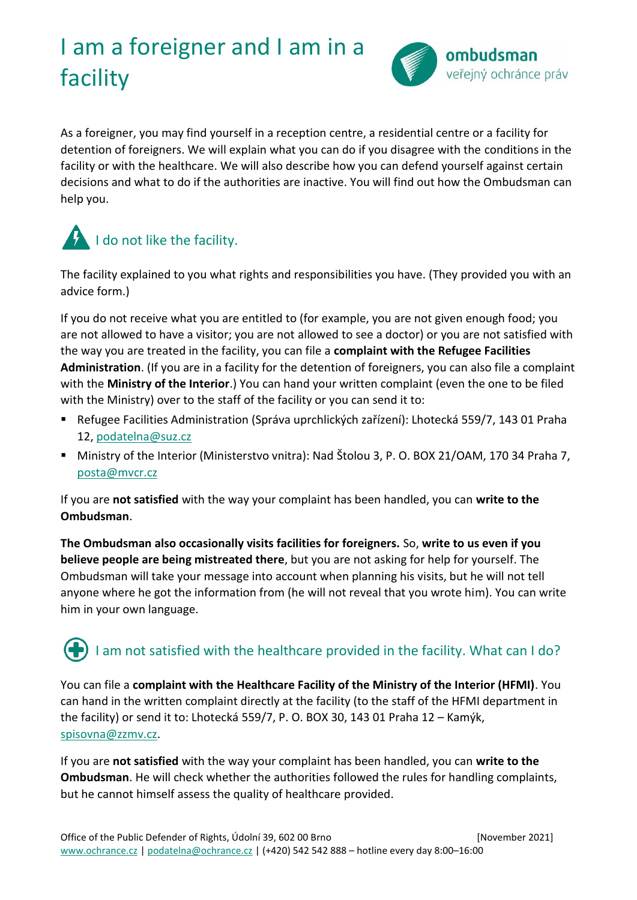# I am a foreigner and I am in a facility



As a foreigner, you may find yourself in a reception centre, a residential centre or a facility for detention of foreigners. We will explain what you can do if you disagree with the conditions in the facility or with the healthcare. We will also describe how you can defend yourself against certain decisions and what to do if the authorities are inactive. You will find out how the Ombudsman can help you.

# I do not like the facility.

The facility explained to you what rights and responsibilities you have. (They provided you with an advice form.)

If you do not receive what you are entitled to (for example, you are not given enough food; you are not allowed to have a visitor; you are not allowed to see a doctor) or you are not satisfied with the way you are treated in the facility, you can file a **complaint with the Refugee Facilities Administration**. (If you are in a facility for the detention of foreigners, you can also file a complaint with the **Ministry of the Interior**.) You can hand your written complaint (even the one to be filed with the Ministry) over to the staff of the facility or you can send it to:

- Refugee Facilities Administration (Správa uprchlických zařízení): Lhotecká 559/7, 143 01 Praha 12, [podatelna@suz.cz](mailto:podatelna@suz.cz)
- Ministry of the Interior (Ministerstvo vnitra): Nad Štolou 3, P. O. BOX 21/OAM, 170 34 Praha 7, [posta@mvcr.cz](mailto:posta@mvcr.cz)

If you are **not satisfied** with the way your complaint has been handled, you can **write to the Ombudsman**.

**The Ombudsman also occasionally visits facilities for foreigners.** So, **write to us even if you believe people are being mistreated there**, but you are not asking for help for yourself. The Ombudsman will take your message into account when planning his visits, but he will not tell anyone where he got the information from (he will not reveal that you wrote him). You can write him in your own language.

### I am not satisfied with the healthcare provided in the facility. What can I do?

You can file a **complaint with the Healthcare Facility of the Ministry of the Interior (HFMI)**. You can hand in the written complaint directly at the facility (to the staff of the HFMI department in the facility) or send it to: Lhotecká 559/7, P. O. BOX 30, 143 01 Praha 12 – Kamýk, [spisovna@zzmv.cz.](mailto:spisovna@zzmv.cz)

If you are **not satisfied** with the way your complaint has been handled, you can **write to the Ombudsman**. He will check whether the authorities followed the rules for handling complaints, but he cannot himself assess the quality of healthcare provided.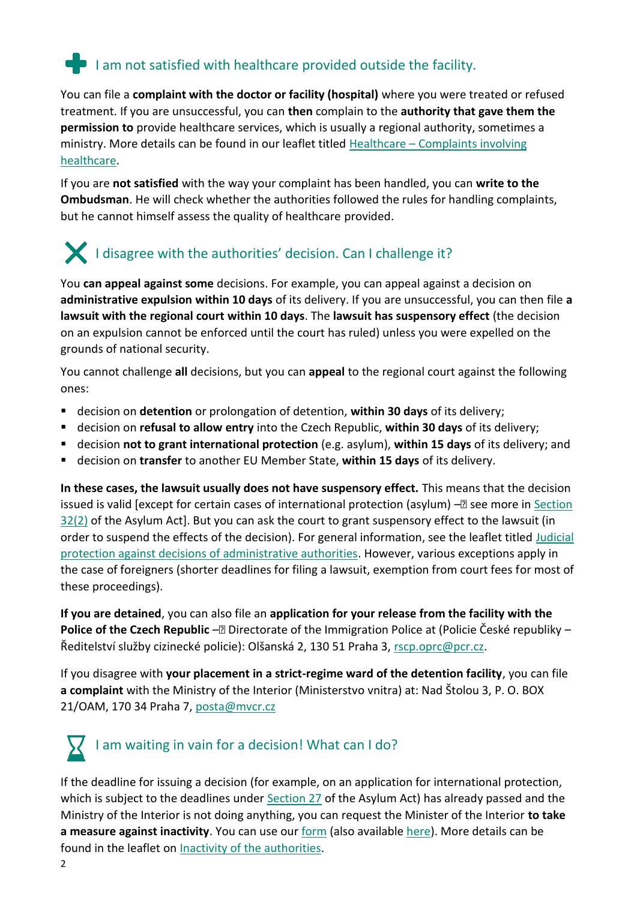#### $\blacksquare$  I am not satisfied with healthcare provided outside the facility.

You can file a **complaint with the doctor or facility (hospital)** where you were treated or refused treatment. If you are unsuccessful, you can **then** complain to the **authority that gave them the permission to** provide healthcare services, which is usually a regional authority, sometimes a ministry. More details can be found in our leaflet titled Healthcare – [Complaints involving](https://www.ochrance.cz/letaky/zdravotnictvi-stiznosti/zdravotnictvi-stiznosti.pdf)  [healthcare.](https://www.ochrance.cz/letaky/zdravotnictvi-stiznosti/zdravotnictvi-stiznosti.pdf)

If you are **not satisfied** with the way your complaint has been handled, you can **write to the Ombudsman**. He will check whether the authorities followed the rules for handling complaints, but he cannot himself assess the quality of healthcare provided.

## I disagree with the authorities' decision. Can I challenge it?

You **can appeal against some** decisions. For example, you can appeal against a decision on **administrative expulsion within 10 days** of its delivery. If you are unsuccessful, you can then file **a lawsuit with the regional court within 10 days**. The **lawsuit has suspensory effect** (the decision on an expulsion cannot be enforced until the court has ruled) unless you were expelled on the grounds of national security.

You cannot challenge **all** decisions, but you can **appeal** to the regional court against the following ones:

- decision on **detention** or prolongation of detention, **within 30 days** of its delivery;
- decision on **refusal to allow entry** into the Czech Republic, **within 30 days** of its delivery;
- decision **not to grant international protection** (e.g. asylum), **within 15 days** of its delivery; and
- decision on **transfer** to another EU Member State, **within 15 days** of its delivery.

**In these cases, the lawsuit usually does not have suspensory effect.** This means that the decision issued is valid [except for certain cases of international protection (asylum)  $-\mathbb{Z}$  see more in Section [32\(2\)](https://www.zakonyprolidi.cz/cs/1999-325#p32-2) of the Asylum Act]. But you can ask the court to grant suspensory effect to the lawsuit (in order to suspend the effects of the decision). For general information, see the leaflet titled [Judicial](https://www.ochrance.cz/letaky/soudni-ochrana-proti_spravnim-organum/soudni-ochrana-proti_spravnim-organum.pdf)  [protection against decisions of administrative authorities.](https://www.ochrance.cz/letaky/soudni-ochrana-proti_spravnim-organum/soudni-ochrana-proti_spravnim-organum.pdf) However, various exceptions apply in the case of foreigners (shorter deadlines for filing a lawsuit, exemption from court fees for most of these proceedings).

**If you are detained**, you can also file an **application for your release from the facility with the Police of the Czech Republic** –<sup>2</sup> Directorate of the Immigration Police at (Policie České republiky – Ředitelství služby cizinecké policie): Olšanská 2, 130 51 Praha 3, [rscp.oprc@pcr.cz.](mailto:rscp.oprc@pcr.cz)

If you disagree with **your placement in a strict-regime ward of the detention facility**, you can file **a complaint** with the Ministry of the Interior (Ministerstvo vnitra) at: Nad Štolou 3, P. O. BOX 21/OAM, 170 34 Praha 7, [posta@mvcr.cz](mailto:posta@mvcr.cz)



If the deadline for issuing a decision (for example, on an application for international protection, which is subject to the deadlines under **Section 27** of the Asylum Act) has already passed and the Ministry of the Interior is not doing anything, you can request the Minister of the Interior **to take a measure against inactivity**. You can use our [form](https://www.ochrance.cz/letaky/zadost-necinnost/formular-opatreni_proti_necinnosti-urad.docx) (also available [here\)](https://www.ochrance.cz/letaky/zadost-necinnost/verze-formulare-k-tisku-a-vyplneni-rukou.pdf). More details can be found in the leaflet on [Inactivity of the authorities.](https://www.ochrance.cz/letaky/necinnost-uradu/necinnost-uradu.pdf)